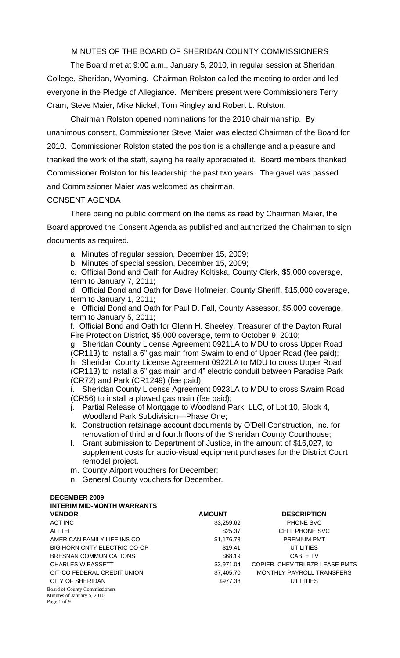MINUTES OF THE BOARD OF SHERIDAN COUNTY COMMISSIONERS

 The Board met at 9:00 a.m., January 5, 2010, in regular session at Sheridan College, Sheridan, Wyoming. Chairman Rolston called the meeting to order and led everyone in the Pledge of Allegiance. Members present were Commissioners Terry Cram, Steve Maier, Mike Nickel, Tom Ringley and Robert L. Rolston.

 Chairman Rolston opened nominations for the 2010 chairmanship. By unanimous consent, Commissioner Steve Maier was elected Chairman of the Board for 2010. Commissioner Rolston stated the position is a challenge and a pleasure and thanked the work of the staff, saying he really appreciated it. Board members thanked Commissioner Rolston for his leadership the past two years. The gavel was passed and Commissioner Maier was welcomed as chairman.

# CONSENT AGENDA

There being no public comment on the items as read by Chairman Maier, the Board approved the Consent Agenda as published and authorized the Chairman to sign documents as required.

a. Minutes of regular session, December 15, 2009;

b. Minutes of special session, December 15, 2009;

c. Official Bond and Oath for Audrey Koltiska, County Clerk, \$5,000 coverage, term to January 7, 2011;

d. Official Bond and Oath for Dave Hofmeier, County Sheriff, \$15,000 coverage, term to January 1, 2011;

e. Official Bond and Oath for Paul D. Fall, County Assessor, \$5,000 coverage, term to January 5, 2011;

f. Official Bond and Oath for Glenn H. Sheeley, Treasurer of the Dayton Rural Fire Protection District, \$5,000 coverage, term to October 9, 2010;

g. Sheridan County License Agreement 0921LA to MDU to cross Upper Road (CR113) to install a 6" gas main from Swaim to end of Upper Road (fee paid); h. Sheridan County License Agreement 0922LA to MDU to cross Upper Road (CR113) to install a 6" gas main and 4" electric conduit between Paradise Park (CR72) and Park (CR1249) (fee paid);

i. Sheridan County License Agreement 0923LA to MDU to cross Swaim Road (CR56) to install a plowed gas main (fee paid);

- j. Partial Release of Mortgage to Woodland Park, LLC, of Lot 10, Block 4, Woodland Park Subdivision—Phase One;
- k. Construction retainage account documents by O'Dell Construction, Inc. for renovation of third and fourth floors of the Sheridan County Courthouse;
- l. Grant submission to Department of Justice, in the amount of \$16,027, to supplement costs for audio-visual equipment purchases for the District Court remodel project.
- m. County Airport vouchers for December;
- n. General County vouchers for December.

#### **DECEMBER 2009 DIM MID MONTH WARRANTS**

| IN LERIM MID-MONTH WARRANTS          |               |                                |
|--------------------------------------|---------------|--------------------------------|
| <b>VENDOR</b>                        | <b>AMOUNT</b> | <b>DESCRIPTION</b>             |
| <b>ACT INC</b>                       | \$3,259.62    | <b>PHONE SVC</b>               |
| <b>ALLTEL</b>                        | \$25.37       | <b>CELL PHONE SVC</b>          |
| AMERICAN FAMILY LIFE INS CO          | \$1,176.73    | <b>PREMIUM PMT</b>             |
| BIG HORN CNTY ELECTRIC CO-OP         | \$19.41       | <b>UTILITIES</b>               |
| BRESNAN COMMUNICATIONS               | \$68.19       | <b>CABLE TV</b>                |
| <b>CHARLES W BASSETT</b>             | \$3,971.04    | COPIER, CHEV TRLBZR LEASE PMTS |
| CIT-CO FEDERAL CREDIT UNION          | \$7,405.70    | MONTHLY PAYROLL TRANSFERS      |
| CITY OF SHERIDAN                     | \$977.38      | <b>UTILITIES</b>               |
| <b>Board of County Commissioners</b> |               |                                |
| Minutes of January 5, 2010           |               |                                |
| Page 1 of 9                          |               |                                |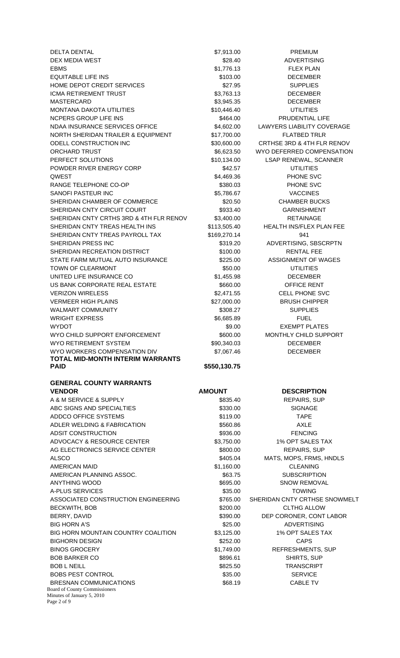DELTA DENTAL **Example 2018** 12:00 \$7,913.00 PREMIUM DEX MEDIA WEST **\$28.40** ADVERTISING EBMS **EDUCAL EDUCATION** S1,776.13 **FLEX PLAN** EQUITABLE LIFE INS **EXECUTABLE LIFE INS S103.00 DECEMBER** HOME DEPOT CREDIT SERVICES THE SERGE SERVICES SUPPLIES ICMA RETIREMENT TRUST **\$3,763.13** DECEMBER MASTERCARD **\$3,945.35** DECEMBER MONTANA DAKOTA UTILITIES \$10,446.40 UTILITIES NCPERS GROUP LIFE INS **\$464.00** \$464.00 PRUDENTIAL LIFE NDAA INSURANCE SERVICES OFFICE \$4,602.00 LAWYERS LIABILITY COVERAGE NORTH SHERIDAN TRAILER & EQUIPMENT \$17,700.00 FLATBED TRLR ODELL CONSTRUCTION INC \$30,600.00 CRTHSE 3RD & 4TH FLR RENOV ORCHARD TRUST TRUST THE SELECTION SECONDER STATES ON THE SELECTION SECONDER SAMPLE SERVICES AND SERVICE SERVICES PERFECT SOLUTIONS **\$10,134.00** LSAP RENEWAL, SCANNER POWDER RIVER ENERGY CORP \$42.57 UTILITIES QWEST 34,469.36 PHONE SVC RANGE TELEPHONE CO-OP \$380.03 PHONE SVC SANOFI PASTEUR INC **1990 120 120 13 13 14 14 15 16 16 17 18 17 18 17 18 17 18 17 18 17 18 17 18 17 18 17 18 17 1** SHERIDAN CHAMBER OF COMMERCE **\$20.50** \$20.50 CHAMBER BUCKS SHERIDAN CNTY CIRCUIT COURT 6933.40 GARNISHMENT SHERIDAN CNTY CRTHS 3RD & 4TH FLR RENOV \$3,400.00 RETAINAGE SHERIDAN CNTY TREAS HEALTH INS \$113,505.40 HEALTH INS/FLEX PLAN FEE SHERIDAN CNTY TREAS PAYROLL TAX \$169,270.14 941 SHERIDAN PRESS INC **ADVERTISING, SBSCRPTN** SHERIDAN RECREATION DISTRICT \$100.00 RENTAL FEE STATE FARM MUTUAL AUTO INSURANCE  $$225.00$  ASSIGNMENT OF WAGES TOWN OF CLEARMONT TOWN ASSO.00 UTILITIES UNITED LIFE INSURANCE CO \$1,455.98 DECEMBER US BANK CORPORATE REAL ESTATE  $$660.00$  OFFICE RENT VERIZON WIRELESS THE SECOND SECTION SECTION SECTION SECTIONS OF SAFEKEEPING SAFETY ASSESSMENT OF SAFETY SECTIONS SUCH A SECOND SECTION SECTIONS SECTION SECTIONS OF SECTIONS AND SECTION SECTIONS SECTIONS SECTIONS SECTIONS S VERMEER HIGH PLAINS **\$27,000.00** BRUSH CHIPPER WALMART COMMUNITY THE STATE SOBIES AND SUPPLIES WRIGHT EXPRESS THE RESERVE THE SECRET SERIES AND SERIES SOMETIME SERIES AND THE SERIES OF SERIES SERIES SERIES WYDOT \$9.00 EXEMPT PLATES WYO CHILD SUPPORT ENFORCEMENT **\$600.00** MONTHLY CHILD SUPPORT WYO RETIREMENT SYSTEM  $$90,340,03$  DECEMBER WYO WORKERS COMPENSATION DIV \$7,067.46 DECEMBER **TOTAL MID-MONTH INTERIM WARRANTS PAID**  $$550,130.75$ **GENERAL COUNTY WARRANTS VENDOR CONSUMING AMOUNT AMOUNT DESCRIPTION** A & M SERVICE & SUPPLY **A & M** SERVICE & SUPPLY ABC SIGNS AND SPECIALTIES **\$330.00** \$330.00 SIGNAGE ADDCO OFFICE SYSTEMS **S119.00** \$119.00 TAPE ADLER WELDING & FABRICATION \$560.86 AXLE ADSIT CONSTRUCTION 6936.00 FENCING ADVOCACY & RESOURCE CENTER  $$3,750.00$  1% OPT SALES TAX AG ELECTRONICS SERVICE CENTER **\$800.00** REPAIRS, SUP ALSCO \$405.04 MATS, MOPS, FRMS, HNDLS AMERICAN MAID **31,160.00** S1,160.00 CLEANING AMERICAN PLANNING ASSOC. The state of the set of the subset of the subscription ANYTHING WOOD **ANYTHING WOOD SOURCE ANYTHING WOOD** SNOW REMOVAL A-PLUS SERVICES **\$35.00** TOWING ASSOCIATED CONSTRUCTION ENGINEERING  $$765.00$  SHERIDAN CNTY CRTHSE SNOWMELT BECKWITH, BOB \$200.00 CLTHG ALLOW BERRY, DAVID **\$390.00** DEP CORONER, CONT LABOR BIG HORN A'S **\$25.00** ADVERTISING

Board of County Commissioners Minutes of January 5, 2010

Page 2 of 9

BRESNAN COMMUNICATIONS 668.19 S68.19 CABLE TV

BIG HORN MOUNTAIN COUNTRY COALITION \$3,125.00 1% OPT SALES TAX BIGHORN DESIGN \$252.00 CAPS BINOS GROCERY **\$1,749.00** REFRESHMENTS, SUP BOB BARKER CO \$896.61 SHIRTS, SUP BOB L NEILL **8825.50** TRANSCRIPT BOBS PEST CONTROL **SAULT AND SERVICE** S35.00 SERVICE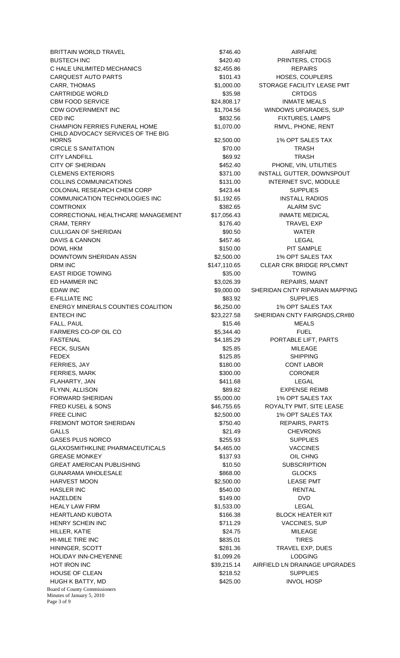Board of County Commissioners Minutes of January 5, 2010 BRITTAIN WORLD TRAVEL **1990 CONTROLL 1990 CONTROLL 1990 CONTROLL** \$746.40 AIRFARE BUSTECH INC **BUSTECH INC BUSTECH INC PRINTERS, CTDGS** C HALE UNLIMITED MECHANICS **1990 SELECT 10 S2,455.86** REPAIRS CARQUEST AUTO PARTS **101.43** HOSES, COUPLERS CARR, THOMAS **EXECUTE:** THOMAS **81,000.00** STORAGE FACILITY LEASE PMT CARTRIDGE WORLD **\$35.98** CRTDGS CBM FOOD SERVICE **1208** CBM FOOD SERVICE **124,808.17** INMATE MEALS CDW GOVERNMENT INC **EXECUTE:** \$1,704.56 WINDOWS UPGRADES, SUP CED INC **6. In the CED INC SECURE CED** INC STRING STRING STRING STRING STRING STRING STRING STRING STRING STRING STRING STRING STRING STRING STRING STRING STRING STRING STRING STRING STRING STRING STRING STRING STRING STRI CHAMPION FERRIES FUNERAL HOME \$1,070.00 RMVL, PHONE, RENT CHILD ADVOCACY SERVICES OF THE BIG HORNS \$2,500.00 1% OPT SALES TAX CIRCLE S SANITATION **\$70.00** TRASH CITY LANDFILL **Example 2018** S69.92 TRASH CITY OF SHERIDAN \$452.40 PHONE, VIN, UTILITIES CLEMENS EXTERIORS **\$271.00** INSTALL GUTTER, DOWNSPOUT COLLINS COMMUNICATIONS \$131.00 INTERNET SVC, MODULE COLONIAL RESEARCH CHEM CORP  $$423.44$  SUPPLIES COMMUNICATION TECHNOLOGIES INC \$1,192.65 INSTALL RADIOS COMTRONIX \$382.65 ALARM SVC CORRECTIONAL HEALTHCARE MANAGEMENT \$17,056.43 INMATE MEDICAL CRAM, TERRY **\$176.40** TRAVEL EXP CULLIGAN OF SHERIDAN **\$90.50** \$90.50 WATER DAVIS & CANNON **\$457.46** LEGAL DOWL HKM **blows** and the state of the state of the state of the state of the state of the state of the state of the state of the state of the state of the state of the state of the state of the state of the state of the st DOWNTOWN SHERIDAN ASSN \$2,500.00 1% OPT SALES TAX DRM INC **EXAMPLE 20 INCLUSTED A STATE OF A STATE AND STATE ASSESS** CLEAR CRK BRIDGE RPLCMNT EAST RIDGE TOWING TOWING TO THE STATE STATE STATE STATE STATE STATE STATE STATE STATE STATE STATE STATE STATE ED HAMMER INC **EXECUTE:** \$3,026.39 REPAIRS, MAINT EDAW INC **EDAW INC EDAW INC EDAW INC EDAW INC EDAW INC EDAW INC EDAW INC EDAM INC EDAM INC EDAM INC EDAM INC EDAM INC EDAM INC EDAM INC EDAM INC EDAM INC EDAM INC EDAM INC EDAM INC EDA** E-FILLIATE INC **SECULIATE INCLUSS EXAMPLES** ENERGY MINERALS COUNTIES COALITION \$6,250.00 1% OPT SALES TAX ENTECH INC 623,227.58 SHERIDAN CNTY FAIRGNDS, CR#80 FALL, PAUL \$15.46 MEALS FARMERS CO-OP OIL CO **85,344.40** FUEL FASTENAL 54,185.29 PORTABLE LIFT, PARTS FECK, SUSAN \$25.85 MILEAGE FEDEX \$125.85 SHIPPING FERRIES, JAY 6180.00 CONT LABOR FERRIES, MARK \$300.00 CORONER FLAHARTY, JAN \$411.68 LEGAL FLYNN, ALLISON \$89.82 EXPENSE REIMB FORWARD SHERIDAN \$5,000.00 1% OPT SALES TAX FRED KUSEL & SONS THE SONS THE SAGE SEAL ASSESS THE SOLUTION OF THE SOLUTION OF SAGE SEAL ASSESSMENT OF THE SAGE STATE LEASE FREE CLINIC **EXECUTE:** THE STATE STATE STATES TO SALES TO A SALES TO A SALES TO A SALES TO A SALES TO A SALES TO A SALES TO A SALES TO A SALES TO A SALE STAX FREMONT MOTOR SHERIDAN \$750.40 REPAIRS, PARTS GALLS \$21.49 CHEVRONS GASES PLUS NORCO \$255.93 SUPPLIES GLAXOSMITHKLINE PHARMACEUTICALS \$4,465.00 VACCINES GREASE MONKEY **1992 OIL CHNG 120 OIL CHNG** \$137.93 OIL CHNG GREAT AMERICAN PUBLISHING **810.50** \$10.50 SUBSCRIPTION GUNARAMA WHOLESALE \$868.00 GLOCKS HARVEST MOON **black and the set of the set of the set of the set of the set of the set of the set of the set of the set of the set of the set of the set of the set of the set of the set of the set of the set of the set of** HASLER INC \$540.00 RENTAL HAZELDEN \$149.00 DVD HEALY LAW FIRM  $$1,533.00$  LEGAL HEARTLAND KUBOTA \$166.38 BLOCK HEATER KIT HENRY SCHEIN INC **1999 STATE SERVICES**, SUP HILLER, KATIE \$24.75 MILEAGE HI-MILE TIRE INC **the set of the SSS** 35.01 TIRES HININGER, SCOTT **1281.36** TRAVEL EXP, DUES HOLIDAY INN-CHEYENNE \$1,099.26 LODGING HOT IRON INC **ALCORAGE 19 ACCORD 19 AIRFIELD AIRFIELD LN DRAINAGE UPGRADES** HOUSE OF CLEAN **\$218.52** SUPPLIES HUGH K BATTY, MD \$425.00 INVOL HOSP

Page 3 of 9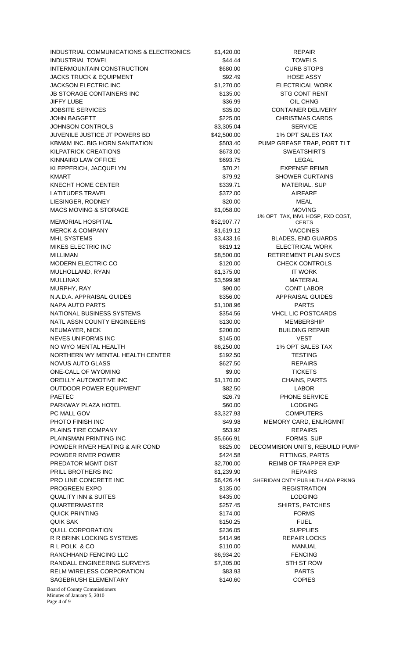INDUSTRIAL COMMUNICATIONS & ELECTRONICS \$1,420.00 REPAIR INDUSTRIAL TOWEL \$44.44 TOWELS INTERMOUNTAIN CONSTRUCTION 5680.00 S680.00 CURB STOPS JACKS TRUCK & EQUIPMENT THE SECOND S92.49 HOSE ASSY JACKSON ELECTRIC INC **\$1,270.00** ELECTRICAL WORK JB STORAGE CONTAINERS INC \$135.00 STG CONT RENT JIFFY LUBE \$36.99 OIL CHNG JOBSITE SERVICES **1999** CONTAINER DELIVERY JOHN BAGGETT \$225.00 CHRISTMAS CARDS JOHNSON CONTROLS 63,305.04 SERVICE JUVENILE JUSTICE JT POWERS BD \$42,500.00 1% OPT SALES TAX KBM&M INC. BIG HORN SANITATION \$503.40 PUMP GREASE TRAP, PORT TLT KILPATRICK CREATIONS **\$673.00** SWEATSHIRTS KINNAIRD LAW OFFICE **the contract of the contract of the second second second second second contract of the contract of the contract of the contract of the contract of the contract of the contract of the contract of the co** KLEPPERICH, JACQUELYN \$70.21 EXPENSE REIMB KMART **EXAMPLE 2018** STRING STRING STRING SHOWER CURTAINS KNECHT HOME CENTER **All and State Control Center State Control** \$339.71 MATERIAL, SUP LATITUDES TRAVEL **AIRFARE 1999 12:33 12:33 1372.00** AIRFARE LIESINGER, RODNEY \$20.00 MEAL MACS MOVING & STORAGE  $$1,058.00$  MOVING MEMORIAL HOSPITAL 652,907.77 MERCK & COMPANY **1.619.12** S1,619.12 VACCINES MHL SYSTEMS  $$3,433.16$  BLADES, END GUARDS MIKES ELECTRIC INC \$819.12 ELECTRICAL WORK MILLIMAN 68,500.00 RETIREMENT PLAN SVCS MODERN ELECTRIC CO **\$120.00** CHECK CONTROLS MULHOLLAND, RYAN \$1,375.00 IT WORK MULLINAX \$3,599.98 MATERIAL MURPHY, RAY \$90.00 CONT LABOR N.A.D.A. APPRAISAL GUIDES \$356.00 APPRAISAL GUIDES NAPA AUTO PARTS **\$1,108.96** PARTS NATIONAL BUSINESS SYSTEMS  $$354.56$  VHCL LIC POSTCARDS NATL ASSN COUNTY ENGINEERS  $$130.00$  MEMBERSHIP NEUMAYER, NICK \$200.00 BUILDING REPAIR NEVES UNIFORMS INC **1992 12:00 VEST** 8145.00 VEST NO WYO MENTAL HEALTH  $$6,250.00$  1% OPT SALES TAX NORTHERN WY MENTAL HEALTH CENTER \$192.50 TESTING NOVUS AUTO GLASS THE REPAIRS IS A SECTED AS A SEP AND REPAIRS ONE-CALL OF WYOMING **\$9.00** \$9.00 TICKETS OREILLY AUTOMOTIVE INC **EXAMPLE 12 120 120 120 120 131** 170.00  $$1.170.00$ CHAINS, PARTS OUTDOOR POWER EQUIPMENT 682.50 SECTION AND THE STATE OF THE STATE OF THE STATE OF THE SECTION OF THE STATE OF THE STATE OF THE STATE OF THE STATE OF THE STATE OF THE STATE OF THE STATE OF THE STATE OF THE STATE OF THE STAT PAETEC **ALCORAGING THE SERVICE** S26.79 PHONE SERVICE PARKWAY PLAZA HOTEL **A MOTEL CONSUMING A MOTEL** S60.00 LODGING PC MALL GOV **\$3,327.93** COMPUTERS PHOTO FINISH INC **EXAMPLE 2018** S49.98 MEMORY CARD, ENLRGMNT PLAINS TIRE COMPANY **1992 COMPANY** 553.92 **REPAIRS** PLAINSMAN PRINTING INC **1992 12:30 12:30 12:30 13:30 13:30 13:30 13:30 13:30 14:30 14:30 14:30 14:30 14:30 14:30 14:30 14:30 14:30 14:30 14:30 14:30 14:30 14:30 14:30 14:30 14:30 14:30 14:30 14:30 14:30 14:30 14:30 14:30 1** POWDER RIVER HEATING & AIR COND \$825.00 DECOMMISION UNITS, REBUILD PUMP POWDER RIVER POWER THE STATE STATE STATE STATES AND STATE STATES PARTS PREDATOR MGMT DIST  $$2,700.00$  REIMB OF TRAPPER EXP PRILL BROTHERS INC **81,239.90** REPAIRS PRO LINE CONCRETE INC **S6,426.44** SHERIDAN CNTY PUB HLTH ADA PRKNG PROGREEN EXPO \$135.00 REGISTRATION QUALITY INN & SUITES \$435.00 LODGING QUARTERMASTER \$257.45 SHIRTS, PATCHES QUICK PRINTING **\$174.00 FORMS** QUIK SAK \$150.25 FUEL QUILL CORPORATION \$236.05 SUPPLIES R R BRINK LOCKING SYSTEMS **\$414.96** S414.96 REPAIR LOCKS R L POLK & CO **but a set of the set of the set of the set of the set of the set of the set of the set of the set of the set of the set of the set of the set of the set of the set of the set of the set of the set of the set** RANCHHAND FENCING LLC  $$6,934.20$  FENCING RANDALL ENGINEERING SURVEYS \$7,305.00 5TH ST ROW RELM WIRELESS CORPORATION 583.93 PARTS SAGEBRUSH ELEMENTARY **\$140.60** \$140.60 COPIES

1% OPT TAX, INVL HOSP, FXD COST,

**CERTS** 

Board of County Commissioners Minutes of January 5, 2010 Page 4 of 9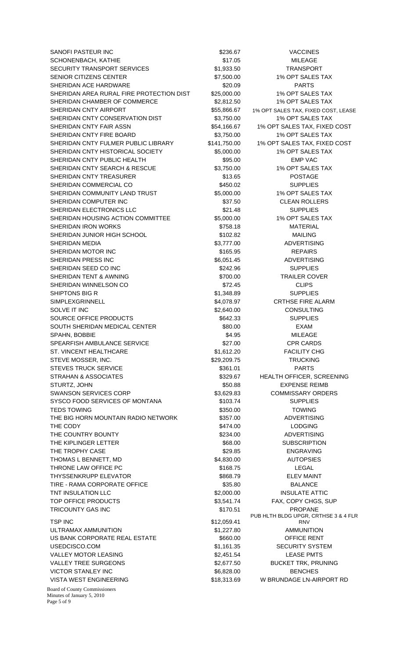SANOFI PASTEUR INC **1992 SANOFI PASTEUR INC.** The CONSTRUCTION OF SANOFI PASTEUR INC. SCHONENBACH, KATHIE \$17.05 MILEAGE SECURITY TRANSPORT SERVICES **\$1,933.50** TRANSPORT SENIOR CITIZENS CENTER  $$7,500.00$  1% OPT SALES TAX SHERIDAN ACE HARDWARE **\$20.09** PARTS SHERIDAN AREA RURAL FIRE PROTECTION DIST \$25,000.00 1% OPT SALES TAX SHERIDAN CHAMBER OF COMMERCE \$2,812.50 1% OPT SALES TAX SHERIDAN CNTY AIRPORT **1966** 1% S55,866.67 1% OPT SALES TAX, FIXED COST, LEASE SHERIDAN CNTY CONSERVATION DIST \$3,750.00 1% OPT SALES TAX SHERIDAN CNTY FAIR ASSN \$54,166.67 1% OPT SALES TAX, FIXED COST SHERIDAN CNTY FIRE BOARD \$3,750.00 1% OPT SALES TAX SHERIDAN CNTY FULMER PUBLIC LIBRARY \$141,750.00 1% OPT SALES TAX, FIXED COST SHERIDAN CNTY HISTORICAL SOCIETY 65,000.00 1% OPT SALES TAX SHERIDAN CNTY PUBLIC HEALTH \$95.00 EMP VAC SHERIDAN CNTY SEARCH & RESCUE \$3,750.00 1% OPT SALES TAX SHERIDAN CNTY TREASURER \$13.65 POSTAGE SHERIDAN COMMERCIAL CO **8450.02** SUPPLIES SHERIDAN COMMUNITY LAND TRUST \$5,000.00 \$5,000.00 1% OPT SALES TAX SHERIDAN COMPUTER INC<br>
\$37.50 CLEAN ROLLERS SHERIDAN ELECTRONICS LLC 
SHERIDAN ELECTRONICS LLC SHERIDAN HOUSING ACTION COMMITTEE \$5,000.00 1% OPT SALES TAX SHERIDAN IRON WORKS **\$758.18** MATERIAL SHERIDAN JUNIOR HIGH SCHOOL \$102.82 MAILING SHERIDAN MEDIA **\$3,777.00** ADVERTISING SHERIDAN MOTOR INC **8165.95** 8165.95 REPAIRS SHERIDAN PRESS INC **\$6,051.45** ADVERTISING SHERIDAN SEED CO INC **SALL AND SEED CO INC** SUPPLIES SHERIDAN TENT & AWNING **\$700.00** \$700.00 TRAILER COVER SHERIDAN WINNELSON CO **\$72.45** CLIPS SHIPTONS BIG R \$1,348.89 SUPPLIES SIMPLEXGRINNELL SALOTA 37 CRTHSE FIRE ALARM SOLVE IT INC **\$2,640.00** SOLVE IT INC **SALVE IT INC** SOURCE OFFICE PRODUCTS SOURCE AND SUPPLIES SOUTH SHERIDAN MEDICAL CENTER  $$80.00$  EXAM SPAHN, BOBBIE \$4.95 MILEAGE SPEARFISH AMBULANCE SERVICE **\$27.00** \$27.00 CPR CARDS ST. VINCENT HEALTHCARE **\$1,612.20** \$1,612.20 FACILITY CHG STEVE MOSSER, INC. TRUCKING S29,209.75 TRUCKING STEVES TRUCK SERVICE **120 CHARTS** \$361.01 PARTS STRAHAN & ASSOCIATES  $$329.67$  HEALTH OFFICER, SCREENING STURTZ, JOHN  $$50.88$  EXPENSE REIMB SWANSON SERVICES CORP  $$3,629.83$  COMMISSARY ORDERS SYSCO FOOD SERVICES OF MONTANA  $$103.74$  SUPPLIES TEDS TOWING **\$250.00** TOWING \$350.00 THE BIG HORN MOUNTAIN RADIO NETWORK \$357.00 ADVERTISING THE CODY **the CODY** the contract of the contract of the state of the state of the state of the state of the state of the state of the state of the state of the state of the state of the state of the state of the state of t THE COUNTRY BOUNTY **1990 COUNTRY BOUNTY** 1990 COUNTRY 1990 COUNTRY 1990 COUNTRY 1990 COUNTRY 1990 COUNTRY 1990 COUNTRY THE KIPLINGER LETTER **\$68.00** SUBSCRIPTION THE TROPHY CASE THE SERIES AND THE TROPHY CASE THE SAME ASSESS THAT A SERIES AND THE TROPHY CASE THOMAS L BENNETT. MD **\$4,830.00** \$4,830.00 AUTOPSIES THRONE LAW OFFICE PC **\$168.75** S168.75 LEGAL THYSSENKRUPP ELEVATOR THE SERIES AND SERIES AND STRINGER SERIES AND SERIES AND SERIES AND THE SERIES AND THE SERIES AND THE SERIES AND THE SERIES AND SERIES AND SERIES AND SERIES AND SERIES AND SERIES AND SERIES AND SERIES TIRE - RAMA CORPORATE OFFICE \$35.80 BALANCE TNT INSULATION LLC  $$2,000.00$  INSULATE ATTIC TOP OFFICE PRODUCTS **\$3,541.74** FAX, COPY CHGS, SUP TRICOUNTY GAS INC **Example 20 SET All Accounts CAST ACCOUNTY GAS INC PROPANE** TSP INC \$12,059.41 ULTRAMAX AMMUNITION \$1,227.80 AMMUNITION US BANK CORPORATE REAL ESTATE  $$660.00$  OFFICE RENT USEDCISCO.COM **\$1,161.35** SECURITY SYSTEM VALLEY MOTOR LEASING **\$2,451.54** LEASE PMTS VALLEY TREE SURGEONS **\$2,677.50** BUCKET TRK, PRUNING VICTOR STANLEY INC **Example 20** and the second that the second second that the second benches VISTA WEST ENGINEERING **\$18,313.69** W BRUNDAGE LN-AIRPORT RD

Board of County Commissioners Minutes of January 5, 2010 Page 5 of 9

PUB HLTH BLDG UPGR, CRTHSE 3 & 4 FLR RNV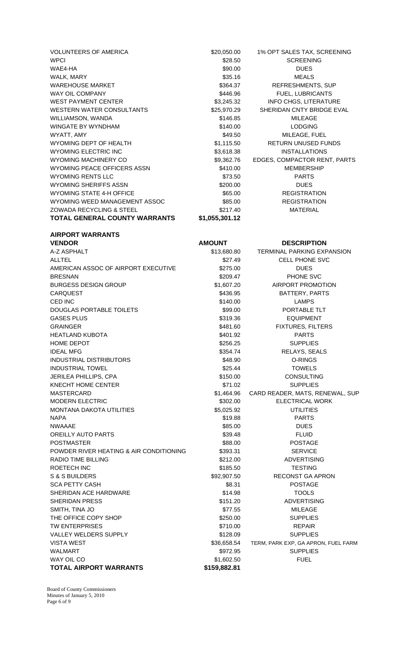| VOLUNTEERS OF AMERICA                    | \$20,050.00    | 1% OPT SALES TAX, SCREENING         |
|------------------------------------------|----------------|-------------------------------------|
|                                          |                |                                     |
| <b>WPCI</b>                              | \$28.50        | <b>SCREENING</b>                    |
| WAE4-HA                                  | \$90.00        | <b>DUES</b>                         |
| WALK, MARY                               | \$35.16        | <b>MEALS</b>                        |
| <b>WAREHOUSE MARKET</b>                  | \$364.37       | REFRESHMENTS, SUP                   |
| WAY OIL COMPANY                          | \$446.96       | FUEL, LUBRICANTS                    |
| <b>WEST PAYMENT CENTER</b>               | \$3,245.32     | <b>INFO CHGS, LITERATURE</b>        |
| <b>WESTERN WATER CONSULTANTS</b>         | \$25,970.29    | SHERIDAN CNTY BRIDGE EVAL           |
| WILLIAMSON, WANDA                        | \$146.85       | <b>MILEAGE</b>                      |
| WINGATE BY WYNDHAM                       | \$140.00       | <b>LODGING</b>                      |
| WYATT, AMY                               | \$49.50        | MILEAGE, FUEL                       |
| WYOMING DEPT OF HEALTH                   | \$1,115.50     | RETURN UNUSED FUNDS                 |
| <b>WYOMING ELECTRIC INC</b>              | \$3,618.38     | <b>INSTALLATIONS</b>                |
| <b>WYOMING MACHINERY CO</b>              | \$9,362.76     | EDGES, COMPACTOR RENT, PARTS        |
| WYOMING PEACE OFFICERS ASSN              | \$410.00       | <b>MEMBERSHIP</b>                   |
| <b>WYOMING RENTS LLC</b>                 |                |                                     |
|                                          | \$73.50        | <b>PARTS</b>                        |
| <b>WYOMING SHERIFFS ASSN</b>             | \$200.00       | <b>DUES</b>                         |
| <b>WYOMING STATE 4-H OFFICE</b>          | \$65.00        | <b>REGISTRATION</b>                 |
| WYOMING WEED MANAGEMENT ASSOC            | \$85.00        | <b>REGISTRATION</b>                 |
| ZOWADA RECYCLING & STEEL                 | \$217.40       | <b>MATERIAL</b>                     |
| <b>TOTAL GENERAL COUNTY WARRANTS</b>     | \$1,055,301.12 |                                     |
|                                          |                |                                     |
| <b>AIRPORT WARRANTS</b><br><b>VENDOR</b> | <b>AMOUNT</b>  | <b>DESCRIPTION</b>                  |
|                                          |                |                                     |
| A-Z ASPHALT                              | \$13,680.80    | TERMINAL PARKING EXPANSION          |
| <b>ALLTEL</b>                            | \$27.49        | <b>CELL PHONE SVC</b>               |
| AMERICAN ASSOC OF AIRPORT EXECUTIVE      | \$275.00       | <b>DUES</b>                         |
| <b>BRESNAN</b>                           | \$209.47       | PHONE SVC                           |
| <b>BURGESS DESIGN GROUP</b>              | \$1,607.20     | AIRPORT PROMOTION                   |
| <b>CARQUEST</b>                          | \$436.95       | BATTERY, PARTS                      |
| CED INC                                  | \$140.00       | <b>LAMPS</b>                        |
| <b>DOUGLAS PORTABLE TOILETS</b>          | \$99.00        | PORTABLE TLT                        |
| <b>GASES PLUS</b>                        | \$319.36       | <b>EQUIPMENT</b>                    |
| <b>GRAINGER</b>                          | \$481.60       | <b>FIXTURES, FILTERS</b>            |
| <b>HEATLAND KUBOTA</b>                   | \$401.92       | <b>PARTS</b>                        |
| <b>HOME DEPOT</b>                        | \$256.25       | <b>SUPPLIES</b>                     |
| <b>IDEAL MFG</b>                         | \$354.74       | RELAYS, SEALS                       |
| <b>INDUSTRIAL DISTRIBUTORS</b>           | \$48.90        | O-RINGS                             |
| <b>INDUSTRIAL TOWEL</b>                  | \$25.44        | <b>TOWELS</b>                       |
| JERILEA PHILLIPS, CPA                    | \$150.00       | <b>CONSULTING</b>                   |
| KNECHT HOME CENTER                       | \$71.02        | <b>SUPPLIES</b>                     |
| <b>MASTERCARD</b>                        | \$1,464.96     | CARD READER, MATS, RENEWAL, SUP     |
|                                          |                |                                     |
| <b>MODERN ELECTRIC</b>                   | \$302.00       | <b>ELECTRICAL WORK</b>              |
| MONTANA DAKOTA UTILITIES                 | \$5,025.92     | <b>UTILITIES</b>                    |
| <b>NAPA</b>                              | \$19.88        | <b>PARTS</b>                        |
| <b>NWAAAE</b>                            | \$85.00        | <b>DUES</b>                         |
| <b>OREILLY AUTO PARTS</b>                | \$39.48        | <b>FLUID</b>                        |
| <b>POSTMASTER</b>                        | \$88.00        | <b>POSTAGE</b>                      |
| POWDER RIVER HEATING & AIR CONDITIONING  | \$393.31       | <b>SERVICE</b>                      |
| <b>RADIO TIME BILLING</b>                | \$212.00       | <b>ADVERTISING</b>                  |
| ROETECH INC                              | \$185.50       | <b>TESTING</b>                      |
| S & S BUILDERS                           | \$92,907.50    | RECONST GA APRON                    |
| <b>SCA PETTY CASH</b>                    | \$8.31         | <b>POSTAGE</b>                      |
| SHERIDAN ACE HARDWARE                    | \$14.98        | <b>TOOLS</b>                        |
| <b>SHERIDAN PRESS</b>                    | \$151.20       | <b>ADVERTISING</b>                  |
| SMITH, TINA JO                           | \$77.55        | <b>MILEAGE</b>                      |
| THE OFFICE COPY SHOP                     | \$250.00       | <b>SUPPLIES</b>                     |
| <b>TW ENTERPRISES</b>                    | \$710.00       | <b>REPAIR</b>                       |
| <b>VALLEY WELDERS SUPPLY</b>             | \$128.09       | <b>SUPPLIES</b>                     |
| <b>VISTA WEST</b>                        | \$36,658.54    | TERM, PARK EXP, GA APRON, FUEL FARM |
| <b>WALMART</b>                           | \$972.95       | <b>SUPPLIES</b>                     |
| WAY OIL CO                               | \$1,602.50     | <b>FUEL</b>                         |
| <b>TOTAL AIRPORT WARRANTS</b>            | \$159,882.81   |                                     |

Board of County Commissioners Minutes of January 5, 2010 Page 6 of 9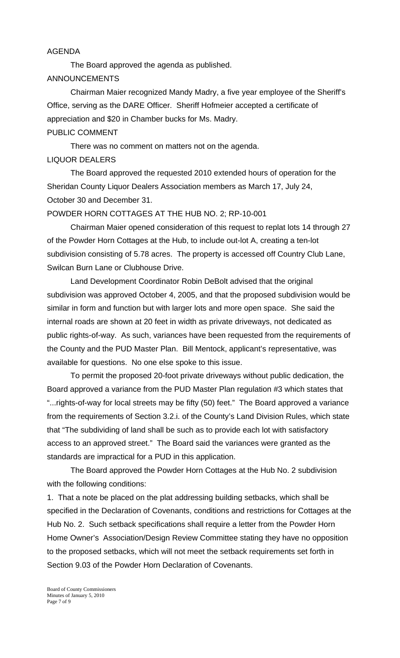#### AGENDA

 The Board approved the agenda as published. ANNOUNCEMENTS

Chairman Maier recognized Mandy Madry, a five year employee of the Sheriff's Office, serving as the DARE Officer. Sheriff Hofmeier accepted a certificate of appreciation and \$20 in Chamber bucks for Ms. Madry. PUBLIC COMMENT

 There was no comment on matters not on the agenda. LIQUOR DEALERS

 The Board approved the requested 2010 extended hours of operation for the Sheridan County Liquor Dealers Association members as March 17, July 24, October 30 and December 31.

### POWDER HORN COTTAGES AT THE HUB NO. 2; RP-10-001

 Chairman Maier opened consideration of this request to replat lots 14 through 27 of the Powder Horn Cottages at the Hub, to include out-lot A, creating a ten-lot subdivision consisting of 5.78 acres. The property is accessed off Country Club Lane, Swilcan Burn Lane or Clubhouse Drive.

 Land Development Coordinator Robin DeBolt advised that the original subdivision was approved October 4, 2005, and that the proposed subdivision would be similar in form and function but with larger lots and more open space. She said the internal roads are shown at 20 feet in width as private driveways, not dedicated as public rights-of-way. As such, variances have been requested from the requirements of the County and the PUD Master Plan. Bill Mentock, applicant's representative, was available for questions. No one else spoke to this issue.

 To permit the proposed 20-foot private driveways without public dedication, the Board approved a variance from the PUD Master Plan regulation #3 which states that "...rights-of-way for local streets may be fifty (50) feet." The Board approved a variance from the requirements of Section 3.2.i. of the County's Land Division Rules, which state that "The subdividing of land shall be such as to provide each lot with satisfactory access to an approved street." The Board said the variances were granted as the standards are impractical for a PUD in this application.

 The Board approved the Powder Horn Cottages at the Hub No. 2 subdivision with the following conditions:

1. That a note be placed on the plat addressing building setbacks, which shall be specified in the Declaration of Covenants, conditions and restrictions for Cottages at the Hub No. 2. Such setback specifications shall require a letter from the Powder Horn Home Owner's Association/Design Review Committee stating they have no opposition to the proposed setbacks, which will not meet the setback requirements set forth in Section 9.03 of the Powder Horn Declaration of Covenants.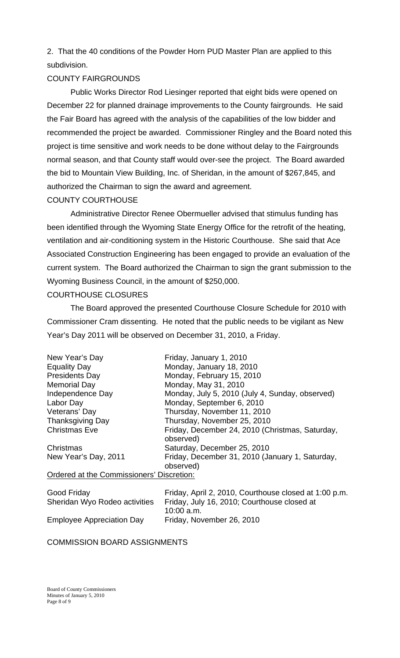2. That the 40 conditions of the Powder Horn PUD Master Plan are applied to this subdivision.

# COUNTY FAIRGROUNDS

 Public Works Director Rod Liesinger reported that eight bids were opened on December 22 for planned drainage improvements to the County fairgrounds. He said the Fair Board has agreed with the analysis of the capabilities of the low bidder and recommended the project be awarded. Commissioner Ringley and the Board noted this project is time sensitive and work needs to be done without delay to the Fairgrounds normal season, and that County staff would over-see the project. The Board awarded the bid to Mountain View Building, Inc. of Sheridan, in the amount of \$267,845, and authorized the Chairman to sign the award and agreement.

# COUNTY COURTHOUSE

 Administrative Director Renee Obermueller advised that stimulus funding has been identified through the Wyoming State Energy Office for the retrofit of the heating, ventilation and air-conditioning system in the Historic Courthouse. She said that Ace Associated Construction Engineering has been engaged to provide an evaluation of the current system. The Board authorized the Chairman to sign the grant submission to the Wyoming Business Council, in the amount of \$250,000.

# COURTHOUSE CLOSURES

 The Board approved the presented Courthouse Closure Schedule for 2010 with Commissioner Cram dissenting. He noted that the public needs to be vigilant as New Year's Day 2011 will be observed on December 31, 2010, a Friday.

| New Year's Day                           | Friday, January 1, 2010                                      |
|------------------------------------------|--------------------------------------------------------------|
| <b>Equality Day</b>                      | Monday, January 18, 2010                                     |
| <b>Presidents Day</b>                    | Monday, February 15, 2010                                    |
| <b>Memorial Day</b>                      | Monday, May 31, 2010                                         |
| Independence Day                         | Monday, July 5, 2010 (July 4, Sunday, observed)              |
| Labor Day                                | Monday, September 6, 2010                                    |
| Veterans' Day                            | Thursday, November 11, 2010                                  |
| <b>Thanksgiving Day</b>                  | Thursday, November 25, 2010                                  |
| <b>Christmas Eve</b>                     | Friday, December 24, 2010 (Christmas, Saturday,<br>observed) |
| Christmas                                | Saturday, December 25, 2010                                  |
| New Year's Day, 2011                     | Friday, December 31, 2010 (January 1, Saturday,<br>observed) |
| Ordered at the Commissioners' Diserction |                                                              |

# Ordered at the Commissioners' Discretion:

| Good Friday                      | Friday, April 2, 2010, Courthouse closed at 1:00 p.m. |
|----------------------------------|-------------------------------------------------------|
| Sheridan Wyo Rodeo activities    | Friday, July 16, 2010; Courthouse closed at           |
|                                  | $10:00$ a.m.                                          |
| <b>Employee Appreciation Day</b> | Friday, November 26, 2010                             |

# COMMISSION BOARD ASSIGNMENTS

Board of County Commissioners Minutes of January 5, 2010 Page 8 of 9